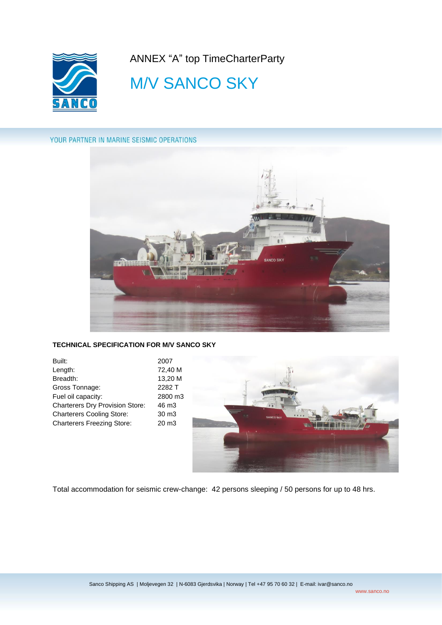

ANNEX "A" top TimeCharterParty

# **M/V SANCO SKY**

# YOUR PARTNER IN MARINE SEISMIC OPERATIONS



# **TECHNICAL SPECIFICATION FOR M/V SANCO SKY**

| Built:                                 | 2007              |
|----------------------------------------|-------------------|
| Length:                                | 72.40 M           |
| Breadth:                               | 13,20 M           |
| Gross Tonnage:                         | 2282 T            |
| Fuel oil capacity:                     | 2800 m3           |
| <b>Charterers Dry Provision Store:</b> | 46 m <sub>3</sub> |
| <b>Charterers Cooling Store:</b>       | 30 m <sub>3</sub> |
| <b>Charterers Freezing Store:</b>      | 20 m <sub>3</sub> |
|                                        |                   |



Total accommodation for seismic crew-change: 42 persons sleeping / 50 persons for up to 48 hrs.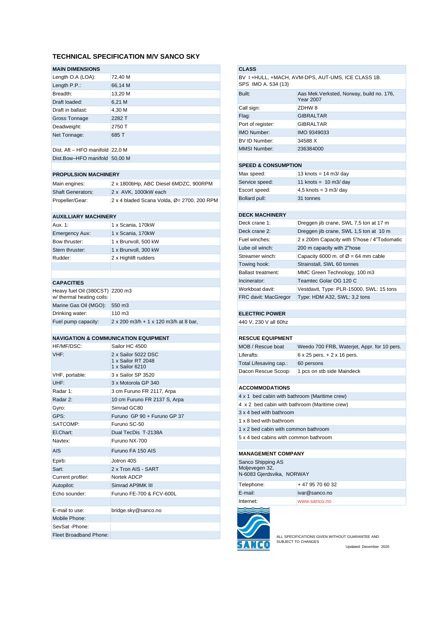## **TECHNICAL SPECIFICATION M/V SANCO SKY**

## **MAIN DIMENSIONS**

| Length O.A (LOA):               | 72,40 M |
|---------------------------------|---------|
| Length P.P.:                    | 66,14 M |
| Breadth:                        | 13,20 M |
| Draft loaded:                   | 6,21 M  |
| Draft in ballast:               | 4,30 M  |
| Gross Tonnage                   | 2282 T  |
| Deadweight:                     | 2750 T  |
| Net Tonnage:                    | 685 T   |
| Dist. Aft - HFO manifold 22,0 M |         |

Dist.Bow-HFO manifold 50,00 M

### **PROPULSION MACHINERY**

| Main engines:            | 2 x 1800bHp, ABC Diesel 6MDZC, 900RPM       |
|--------------------------|---------------------------------------------|
| <b>Shaft Generators:</b> | 2 x AVK, 1000kW each                        |
| Propeller/Gear:          | 2 x 4 bladed Scana Volda, Ø = 2700, 200 RPM |
|                          |                                             |

#### **AUXILLIARY MACHINERY**

| Aux. 1:               | 1 x Scania, 170kW    |
|-----------------------|----------------------|
| <b>Emergency Aux:</b> | 1 x Scania, 170kW    |
| Bow thruster:         | 1 x Brunvoll, 500 kW |
| Stern thruster:       | 1 x Brunvoll, 300 kW |
| Rudder:               | 2 x Highlift rudders |
|                       |                      |

## **CAPACITIES**

| Heavy fuel Oil (380CST) 2200 m3<br>w/ thermal heating coils: |                                       |
|--------------------------------------------------------------|---------------------------------------|
| Marine Gas Oil (MGO):                                        | 550 m3                                |
| Drinking water:                                              | 110 m3                                |
| Fuel pump capacity:                                          | 2 x 200 m3/h + 1 x 120 m3/h at 8 bar, |

## **NAVIGATION & COMMUNICATION EQUIPMENT**

| Sailor HC 4500                                               |
|--------------------------------------------------------------|
| 2 x Sailor 5022 DSC<br>1 x Sailor RT 2048<br>1 x Sailor 6210 |
| 3 x Sailor SP 3520                                           |
| 3 x Motorola GP 340                                          |
| 3 cm Furuno FR 2117, Arpa                                    |
| 10 cm Furuno FR 2137 S, Arpa                                 |
| Simrad GC80                                                  |
| Furuno GP 90 + Furuno GP 37                                  |
| Furuno SC-50                                                 |
| Dual TecDis T-2138A                                          |
| Furuno NX-700                                                |
| Furuno FA 150 AIS                                            |
| Jotron 40S                                                   |
| 2 x Tron AIS - SART                                          |
| Nortek ADCP                                                  |
| Simrad AP9MK III                                             |
| Furuno FE-700 & FCV-600L                                     |
|                                                              |
| bridge.sky@sanco.no                                          |
|                                                              |
|                                                              |
|                                                              |
|                                                              |

# **CLASS** BV I +HULL, +MACH, AVM-DPS, AUT-UMS, ICE CLASS 1B. SPS IMO A. 534 (13) Built: Aas Mek.Verksted, Norway, build no. 176, Year 2007 Call sign: ZDHW 8 Flag: GIBRALTAR Port of register: GIBRALTAR IMO Number: IMO 9349033 BV ID Number: 34588 X MMSI Number: 236384000 **SPEED & CONSUMPTION**

| Max speed:     | 13 knots = $14$ m $3$ day        |
|----------------|----------------------------------|
| Service speed: | 11 knots = $10 \text{ m3/day}$   |
| Escort speed:  | 4,5 knots = $3 \text{ m}$ 3/ day |
| Bollard pull:  | 31 tonnes                        |

#### **DECK MACHINERY**

| Deck crane 1:             | Dreggen jib crane, SWL 7,5 ton at 17 m          |
|---------------------------|-------------------------------------------------|
| Deck crane 2:             | Dreggen jib crane, SWL 1,5 ton at 10 m          |
| Fuel winches:             | 2 x 200m Capacity with 5"hose / 4"Todomatic     |
| Lube oil winch:           | 200 m capacity with 2"hose                      |
| Streamer winch:           | Capacity 6000 m. of $\varnothing$ = 64 mm cable |
| Towing hook:              | Strainstall, SWL 60 tonnes                      |
| <b>Ballast treatment:</b> | MMC Green Technology, 100 m3                    |
| Incinerator:              | Teamtec Golar OG 120 C                          |
| Workboat davit:           | Vestdavit, Type: PLR-15000, SWL: 15 tons        |
| FRC davit: MacGregor      | Type: HDM A32, SWL: 3,2 tons                    |

# **ELECTRIC POWER**

440 V, 230 V all 60hz

#### **RESCUE EQUIPMENT**

| MOB / Rescue boat      | Weedo 700 FRB, Waterjet, Appr. for 10 pers. |
|------------------------|---------------------------------------------|
| Liferafts:             | $6 \times 25$ pers. $+ 2 \times 16$ pers.   |
| Total Lifesaving cap.: | 60 persons                                  |
| Dacon Rescue Scoop:    | 1 pcs on stb side Maindeck                  |
|                        |                                             |

#### **ACCOMMODATIONS**

| 4 x 1 bed cabin with bathroom (Maritime crew) |
|-----------------------------------------------|
| 4 x 2 bed cabin with bathroom (Maritime crew) |
| 3 x 4 bed with bathroom                       |
| 1 x 8 bed with bathroom                       |
| 1 x 2 bed cabin with common bathroom          |
| 5 x 4 bed cabins with common bathroom         |
|                                               |
| <b>MANAGEMENT COMPANY</b>                     |
| Sanco Shipping AS                             |

| Moljevegen 32,<br>N-6083 Gjerdsvika, NORWAY |                 |
|---------------------------------------------|-----------------|
| Telephone:                                  | +47 95 70 60 32 |
| E-mail:                                     | ivar@sanco.no   |
| Internet:                                   | www.sanco.no    |



ALL SPECIFICATIONS GIVEN WITHOUT GUARANTEE AND SUBJECT TO CHANGES Updated: December 2020